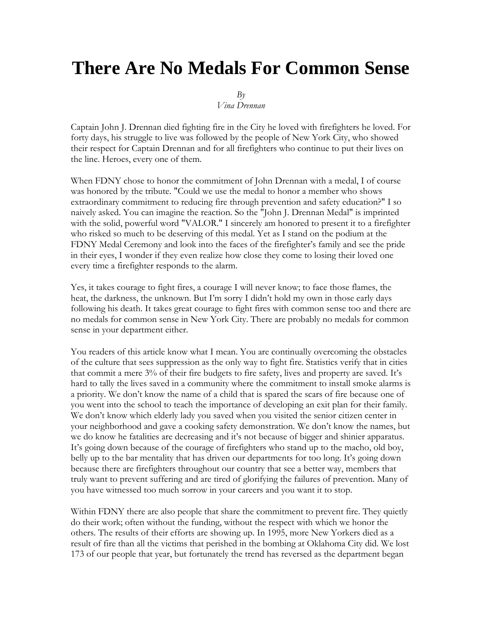## **There Are No Medals For Common Sense**

 $Bv$ 

*Vina Drennan*

Captain John J. Drennan died fighting fire in the City he loved with firefighters he loved. For forty days, his struggle to live was followed by the people of New York City, who showed their respect for Captain Drennan and for all firefighters who continue to put their lives on the line. Heroes, every one of them.

When FDNY chose to honor the commitment of John Drennan with a medal, I of course was honored by the tribute. "Could we use the medal to honor a member who shows extraordinary commitment to reducing fire through prevention and safety education?" I so naively asked. You can imagine the reaction. So the "John J. Drennan Medal" is imprinted with the solid, powerful word "VALOR." I sincerely am honored to present it to a firefighter who risked so much to be deserving of this medal. Yet as I stand on the podium at the FDNY Medal Ceremony and look into the faces of the firefighter's family and see the pride in their eyes, I wonder if they even realize how close they come to losing their loved one every time a firefighter responds to the alarm.

Yes, it takes courage to fight fires, a courage I will never know; to face those flames, the heat, the darkness, the unknown. But I'm sorry I didn't hold my own in those early days following his death. It takes great courage to fight fires with common sense too and there are no medals for common sense in New York City. There are probably no medals for common sense in your department either.

You readers of this article know what I mean. You are continually overcoming the obstacles of the culture that sees suppression as the only way to fight fire. Statistics verify that in cities that commit a mere 3% of their fire budgets to fire safety, lives and property are saved. It's hard to tally the lives saved in a community where the commitment to install smoke alarms is a priority. We don't know the name of a child that is spared the scars of fire because one of you went into the school to teach the importance of developing an exit plan for their family. We don't know which elderly lady you saved when you visited the senior citizen center in your neighborhood and gave a cooking safety demonstration. We don't know the names, but we do know he fatalities are decreasing and it's not because of bigger and shinier apparatus. It's going down because of the courage of firefighters who stand up to the macho, old boy, belly up to the bar mentality that has driven our departments for too long. It's going down because there are firefighters throughout our country that see a better way, members that truly want to prevent suffering and are tired of glorifying the failures of prevention. Many of you have witnessed too much sorrow in your careers and you want it to stop.

Within FDNY there are also people that share the commitment to prevent fire. They quietly do their work; often without the funding, without the respect with which we honor the others. The results of their efforts are showing up. In 1995, more New Yorkers died as a result of fire than all the victims that perished in the bombing at Oklahoma City did. We lost 173 of our people that year, but fortunately the trend has reversed as the department began